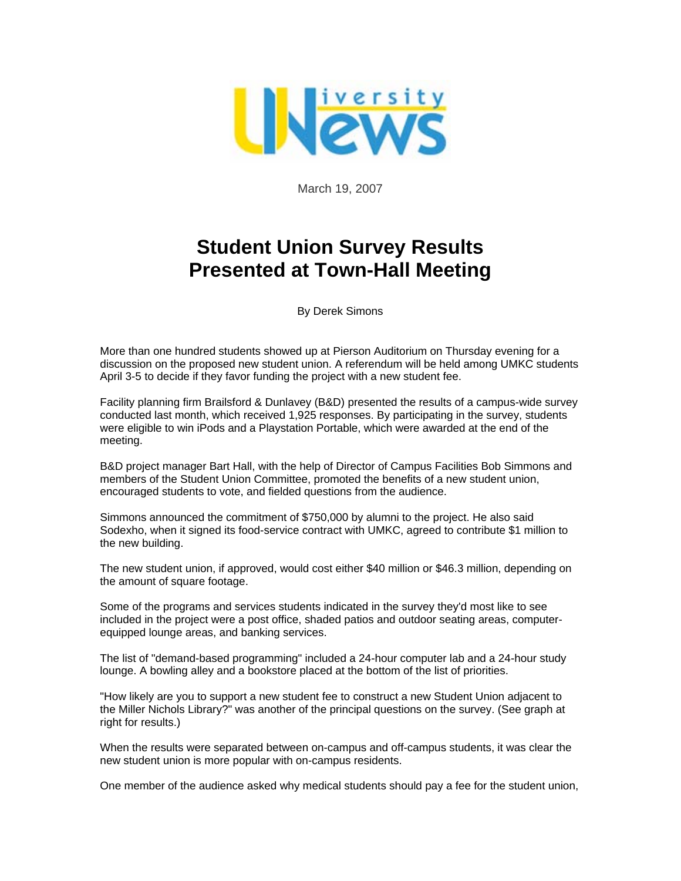

March 19, 2007

## **Student Union Survey Results Presented at Town-Hall Meeting**

By Derek Simons

More than one hundred students showed up at Pierson Auditorium on Thursday evening for a discussion on the proposed new student union. A referendum will be held among UMKC students April 3-5 to decide if they favor funding the project with a new student fee.

Facility planning firm Brailsford & Dunlavey (B&D) presented the results of a campus-wide survey conducted last month, which received 1,925 responses. By participating in the survey, students were eligible to win iPods and a Playstation Portable, which were awarded at the end of the meeting.

B&D project manager Bart Hall, with the help of Director of Campus Facilities Bob Simmons and members of the Student Union Committee, promoted the benefits of a new student union, encouraged students to vote, and fielded questions from the audience.

Simmons announced the commitment of \$750,000 by alumni to the project. He also said Sodexho, when it signed its food-service contract with UMKC, agreed to contribute \$1 million to the new building.

The new student union, if approved, would cost either \$40 million or \$46.3 million, depending on the amount of square footage.

Some of the programs and services students indicated in the survey they'd most like to see included in the project were a post office, shaded patios and outdoor seating areas, computerequipped lounge areas, and banking services.

The list of "demand-based programming" included a 24-hour computer lab and a 24-hour study lounge. A bowling alley and a bookstore placed at the bottom of the list of priorities.

"How likely are you to support a new student fee to construct a new Student Union adjacent to the Miller Nichols Library?" was another of the principal questions on the survey. (See graph at right for results.)

When the results were separated between on-campus and off-campus students, it was clear the new student union is more popular with on-campus residents.

One member of the audience asked why medical students should pay a fee for the student union,